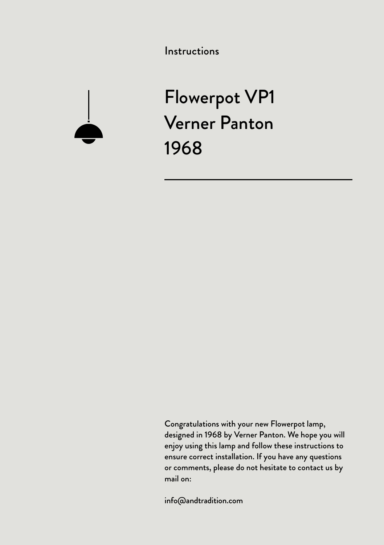Instructions



Flowerpot VP1 Verner Panton 1968

Congratulations with your new Flowerpot lamp, designed in 1968 by Verner Panton. We hope you will enjoy using this lamp and follow these instructions to ensure correct installation. If you have any questions or comments, please do not hesitate to contact us by mail on:

info@andtradition.com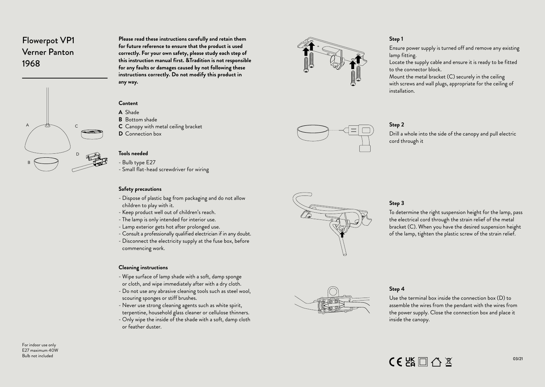# Flowerpot VP1 Verner Panton 1968



**Please read these instructions carefully and retain them for future reference to ensure that the product is used correctly. For your own safety, please study each step of this instruction manual first. &Tradition is not responsible for any faults or damages caused by not following these instructions correctly. Do not modify this product in any way.**

#### **Content**

- **A** Shade
- **B** Bottom shade
- **C** Canopy with metal ceiling bracket
- **D** Connection box

#### **Tools needed**

- 
- Bulb type E27<br>- Small flat-head screwdriver for wiring

#### **Safety precautions**

- Dispose of plastic bag from packaging and do not allow children to play with it.
- 
- 
- 
- Keep product well out of children's reach.<br>- The lamp is only intended for interior use.<br>- Lamp exterior gets hot after prolonged use.<br>- Consult a professionally qualified electrician if in any doubt.<br>- Disconnect the el
- commencing work.

#### **Cleaning instructions**

- Wipe surface of lamp shade with a soft, damp sponge or cloth, and wipe immediately after with a dry cloth.
- Do not use any abrasive cleaning tools such as steel wool, scouring sponges or stiff brushes.
- Never use strong cleaning agents such as white spirit, terpentine, household glass cleaner or cellulose thinners.
- Only wipe the inside of the shade with a soft, damp cloth or feather duster.



#### **Step 1**

Ensure power supply is turned off and remove any existing lamp fitting.

Locate the supply cable and ensure it is ready to be fitted to the connector block.

Mount the metal bracket (C) securely in the ceiling with screws and wall plugs, appropriate for the ceiling of installation.



#### **Step 2**

Drill a whole into the side of the canopy and pull electric cord through it



#### **Step 3**

To determine the right suspension height for the lamp, pass the electrical cord through the strain relief of the metal bracket (C). When you have the desired suspension height of the lamp, tighten the plastic screw of the strain relief.



## **Step 4**

Use the terminal box inside the connection box (D) to assemble the wires from the pendant with the wires from the power supply. Close the connection box and place it inside the canopy.

For indoor use only  $E$ 27 maximum 40W Bulb not included